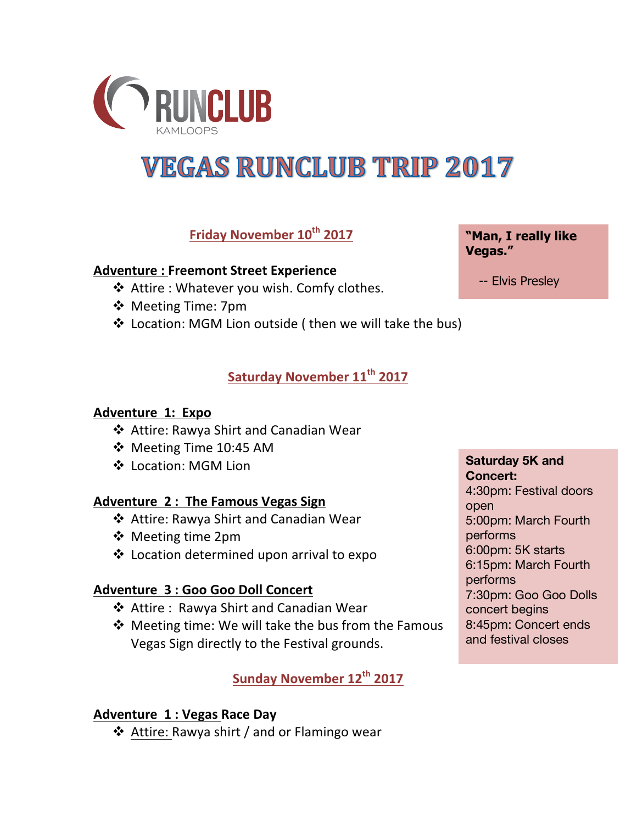

# **VEGAS RUNCLUB TRIP 2017**

## **Friday November 10th 2017**

## **Adventure: Freemont Street Experience**

- $\triangleleft$  Attire : Whatever you wish. Comfy clothes.
- ❖ Meeting Time: 7pm
- ❖ Location: MGM Lion outside ( then we will take the bus)

## **Saturday November 11th 2017**

## **Adventure 1: Expo**

- ❖ Attire: Rawya Shirt and Canadian Wear
- $\div$  Meeting Time 10:45 AM
- ❖ Location: MGM Lion

## Adventure 2: The Famous Vegas Sign

- ❖ Attire: Rawya Shirt and Canadian Wear
- $\div$  Meeting time 2pm
- ❖ Location determined upon arrival to expo

## **Adventure 3: Goo Goo Doll Concert**

- ❖ Attire : Rawya Shirt and Canadian Wear
- $\clubsuit$  Meeting time: We will take the bus from the Famous Vegas Sign directly to the Festival grounds.

## **Sunday November 12th 2017**

## **Adventure 1: Vegas Race Day**

❖ Attire: Rawya shirt / and or Flamingo wear

**Saturday 5K and Concert:** 4:30pm: Festival doors open 5:00pm: March Fourth performs 6:00pm: 5K starts 6:15pm: March Fourth performs 7:30pm: Goo Goo Dolls concert begins 8:45pm: Concert ends and festival closes

-- Elvis Presley

**Vegas."**

**"Man, I really like**